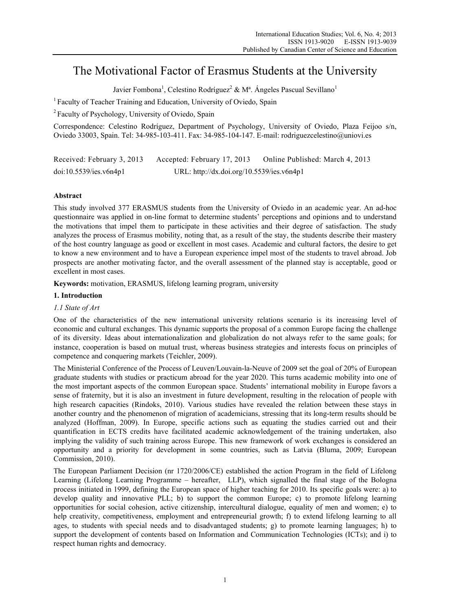# The Motivational Factor of Erasmus Students at the University

Javier Fombona<sup>1</sup>, Celestino Rodríguez<sup>2</sup> & Mª. Ángeles Pascual Sevillano<sup>1</sup>

<sup>1</sup> Faculty of Teacher Training and Education, University of Oviedo, Spain

2 Faculty of Psychology, University of Oviedo, Spain

Correspondence: Celestino Rodríguez, Department of Psychology, University of Oviedo, Plaza Feijoo s/n, Oviedo 33003, Spain. Tel: 34-985-103-411. Fax: 34-985-104-147. E-mail: rodriguezcelestino@uniovi.es

Received: February 3, 2013 Accepted: February 17, 2013 Online Published: March 4, 2013 doi:10.5539/ies.v6n4p1 URL: http://dx.doi.org/10.5539/ies.v6n4p1

# **Abstract**

This study involved 377 ERASMUS students from the University of Oviedo in an academic year. An ad-hoc questionnaire was applied in on-line format to determine students' perceptions and opinions and to understand the motivations that impel them to participate in these activities and their degree of satisfaction. The study analyzes the process of Erasmus mobility, noting that, as a result of the stay, the students describe their mastery of the host country language as good or excellent in most cases. Academic and cultural factors, the desire to get to know a new environment and to have a European experience impel most of the students to travel abroad. Job prospects are another motivating factor, and the overall assessment of the planned stay is acceptable, good or excellent in most cases.

**Keywords:** motivation, ERASMUS, lifelong learning program, university

# **1. Introduction**

# *1.1 State of Art*

One of the characteristics of the new international university relations scenario is its increasing level of economic and cultural exchanges. This dynamic supports the proposal of a common Europe facing the challenge of its diversity. Ideas about internationalization and globalization do not always refer to the same goals; for instance, cooperation is based on mutual trust, whereas business strategies and interests focus on principles of competence and conquering markets (Teichler, 2009).

The Ministerial Conference of the Process of Leuven/Louvain-la-Neuve of 2009 set the goal of 20% of European graduate students with studies or practicum abroad for the year 2020. This turns academic mobility into one of the most important aspects of the common European space. Students' international mobility in Europe favors a sense of fraternity, but it is also an investment in future development, resulting in the relocation of people with high research capacities (Rindoks, 2010). Various studies have revealed the relation between these stays in another country and the phenomenon of migration of academicians, stressing that its long-term results should be analyzed (Hoffman, 2009). In Europe, specific actions such as equating the studies carried out and their quantification in ECTS credits have facilitated academic acknowledgement of the training undertaken, also implying the validity of such training across Europe. This new framework of work exchanges is considered an opportunity and a priority for development in some countries, such as Latvia (Bluma, 2009; European Commission, 2010).

The European Parliament Decision (nr 1720/2006/CE) established the action Program in the field of Lifelong Learning (Lifelong Learning Programme – hereafter, LLP), which signalled the final stage of the Bologna process initiated in 1999, defining the European space of higher teaching for 2010. Its specific goals were: a) to develop quality and innovative PLL; b) to support the common Europe; c) to promote lifelong learning opportunities for social cohesion, active citizenship, intercultural dialogue, equality of men and women; e) to help creativity, competitiveness, employment and entrepreneurial growth; f) to extend lifelong learning to all ages, to students with special needs and to disadvantaged students; g) to promote learning languages; h) to support the development of contents based on Information and Communication Technologies (ICTs); and i) to respect human rights and democracy.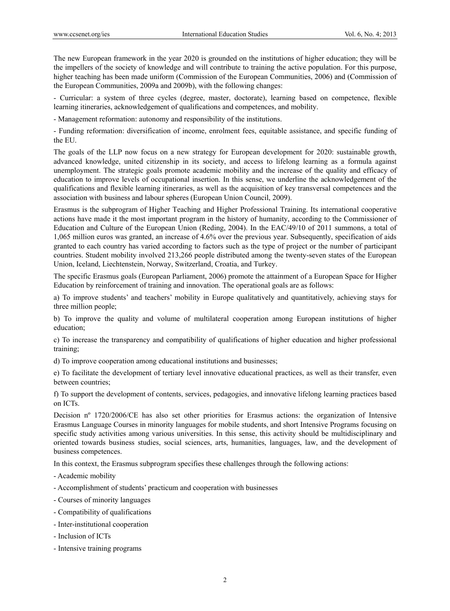The new European framework in the year 2020 is grounded on the institutions of higher education; they will be the impellers of the society of knowledge and will contribute to training the active population. For this purpose, higher teaching has been made uniform (Commission of the European Communities, 2006) and (Commission of the European Communities, 2009a and 2009b), with the following changes:

- Curricular: a system of three cycles (degree, master, doctorate), learning based on competence, flexible learning itineraries, acknowledgement of qualifications and competences, and mobility.

- Management reformation: autonomy and responsibility of the institutions.

- Funding reformation: diversification of income, enrolment fees, equitable assistance, and specific funding of the EU.

The goals of the LLP now focus on a new strategy for European development for 2020: sustainable growth, advanced knowledge, united citizenship in its society, and access to lifelong learning as a formula against unemployment. The strategic goals promote academic mobility and the increase of the quality and efficacy of education to improve levels of occupational insertion. In this sense, we underline the acknowledgement of the qualifications and flexible learning itineraries, as well as the acquisition of key transversal competences and the association with business and labour spheres (European Union Council, 2009).

Erasmus is the subprogram of Higher Teaching and Higher Professional Training. Its international cooperative actions have made it the most important program in the history of humanity, according to the Commissioner of Education and Culture of the European Union (Reding, 2004). In the EAC/49/10 of 2011 summons, a total of 1,065 million euros was granted, an increase of 4.6% over the previous year. Subsequently, specification of aids granted to each country has varied according to factors such as the type of project or the number of participant countries. Student mobility involved 213,266 people distributed among the twenty-seven states of the European Union, Iceland, Liechtenstein, Norway, Switzerland, Croatia, and Turkey.

The specific Erasmus goals (European Parliament, 2006) promote the attainment of a European Space for Higher Education by reinforcement of training and innovation. The operational goals are as follows:

a) To improve students' and teachers' mobility in Europe qualitatively and quantitatively, achieving stays for three million people;

b) To improve the quality and volume of multilateral cooperation among European institutions of higher education;

c) To increase the transparency and compatibility of qualifications of higher education and higher professional training;

d) To improve cooperation among educational institutions and businesses;

e) To facilitate the development of tertiary level innovative educational practices, as well as their transfer, even between countries;

f) To support the development of contents, services, pedagogies, and innovative lifelong learning practices based on ICTs.

Decision nº 1720/2006/CE has also set other priorities for Erasmus actions: the organization of Intensive Erasmus Language Courses in minority languages for mobile students, and short Intensive Programs focusing on specific study activities among various universities. In this sense, this activity should be multidisciplinary and oriented towards business studies, social sciences, arts, humanities, languages, law, and the development of business competences.

In this context, the Erasmus subprogram specifies these challenges through the following actions:

- Academic mobility
- Accomplishment of students' practicum and cooperation with businesses
- Courses of minority languages
- Compatibility of qualifications
- Inter-institutional cooperation
- Inclusion of ICTs
- Intensive training programs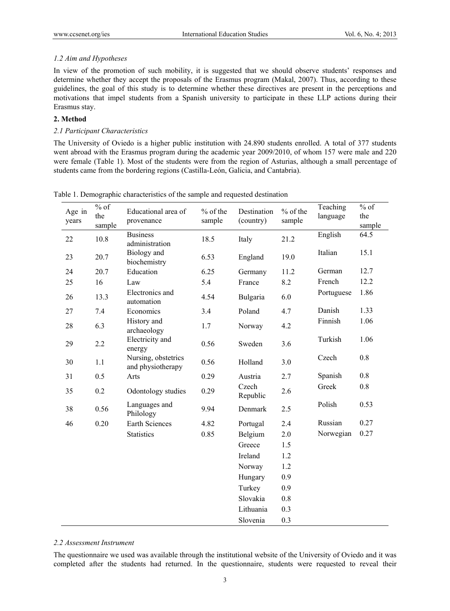# *1.2 Aim and Hypotheses*

In view of the promotion of such mobility, it is suggested that we should observe students' responses and determine whether they accept the proposals of the Erasmus program (Makal, 2007). Thus, according to these guidelines, the goal of this study is to determine whether these directives are present in the perceptions and motivations that impel students from a Spanish university to participate in these LLP actions during their Erasmus stay.

# **2. Method**

# *2.1 Participant Characteristics*

The University of Oviedo is a higher public institution with 24.890 students enrolled. A total of 377 students went abroad with the Erasmus program during the academic year 2009/2010, of whom 157 were male and 220 were female (Table 1). Most of the students were from the region of Asturias, although a small percentage of students came from the bordering regions (Castilla-León, Galicia, and Cantabria).

| Age in<br>years | $%$ of<br>the<br>sample | Educational area of<br>provenance        | $%$ of the<br>sample | Destination<br>(country) | $%$ of the<br>sample | Teaching<br>language | $%$ of<br>the<br>sample |
|-----------------|-------------------------|------------------------------------------|----------------------|--------------------------|----------------------|----------------------|-------------------------|
| 22              | 10.8                    | <b>Business</b><br>administration        | 18.5                 | Italy                    | 21.2                 | English              | 64.5                    |
| 23              | 20.7                    | Biology and<br>biochemistry              | 6.53                 | England                  | 19.0                 | Italian              | 15.1                    |
| 24              | 20.7                    | Education                                | 6.25                 | Germany                  | 11.2                 | German               | 12.7                    |
| 25              | 16                      | Law                                      | 5.4                  | France                   | 8.2                  | French               | 12.2                    |
| 26              | 13.3                    | Electronics and<br>automation            | 4.54                 | Bulgaria                 | 6.0                  | Portuguese           | 1.86                    |
| 27              | 7.4                     | Economics                                | 3.4                  | Poland                   | 4.7                  | Danish               | 1.33                    |
| 28              | 6.3                     | History and<br>archaeology               | 1.7                  | Norway                   | 4.2                  | Finnish              | 1.06                    |
| 29              | 2.2                     | Electricity and<br>energy                | 0.56                 | Sweden                   | 3.6                  | Turkish              | 1.06                    |
| 30              | $1.1\,$                 | Nursing, obstetrics<br>and physiotherapy | 0.56                 | Holland                  | 3.0                  | Czech                | 0.8                     |
| 31              | 0.5                     | Arts                                     | 0.29                 | Austria                  | 2.7                  | Spanish              | 0.8                     |
| 35              | 0.2                     | Odontology studies                       | 0.29                 | Czech<br>Republic        | 2.6                  | Greek                | 0.8                     |
| 38              | 0.56                    | Languages and<br>Philology               | 9.94                 | Denmark                  | 2.5                  | Polish               | 0.53                    |
| 46              | 0.20                    | Earth Sciences                           | 4.82                 | Portugal                 | 2.4                  | Russian              | 0.27                    |
|                 |                         | <b>Statistics</b>                        | 0.85                 | Belgium                  | 2.0                  | Norwegian            | 0.27                    |
|                 |                         |                                          |                      | Greece                   | 1.5                  |                      |                         |
|                 |                         |                                          |                      | Ireland                  | 1.2                  |                      |                         |
|                 |                         |                                          |                      | Norway                   | 1.2                  |                      |                         |
|                 |                         |                                          |                      | Hungary                  | 0.9                  |                      |                         |
|                 |                         |                                          |                      | Turkey                   | 0.9                  |                      |                         |
|                 |                         |                                          |                      | Slovakia                 | $0.8\,$              |                      |                         |
|                 |                         |                                          |                      | Lithuania                | 0.3                  |                      |                         |
|                 |                         |                                          |                      | Slovenia                 | 0.3                  |                      |                         |

Table 1. Demographic characteristics of the sample and requested destination

## *2.2 Assessment Instrument*

The questionnaire we used was available through the institutional website of the University of Oviedo and it was completed after the students had returned. In the questionnaire, students were requested to reveal their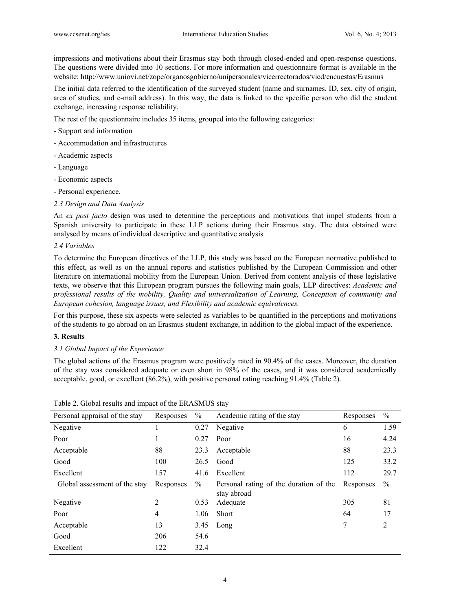impressions and motivations about their Erasmus stay both through closed-ended and open-response questions. The questions were divided into 10 sections. For more information and questionnaire format is available in the website: http://www.uniovi.net/zope/organosgobierno/unipersonales/vicerrectorados/vicd/encuestas/Erasmus

The initial data referred to the identification of the surveyed student (name and surnames, ID, sex, city of origin, area of studies, and e-mail address). In this way, the data is linked to the specific person who did the student exchange, increasing response reliability.

The rest of the questionnaire includes 35 items, grouped into the following categories:

- Support and information
- Accommodation and infrastructures
- Academic aspects
- Language
- Economic aspects
- Personal experience.
- *2.3 Design and Data Analysis*

An *ex post facto* design was used to determine the perceptions and motivations that impel students from a Spanish university to participate in these LLP actions during their Erasmus stay. The data obtained were analysed by means of individual descriptive and quantitative analysis

#### *2.4 Variables*

To determine the European directives of the LLP, this study was based on the European normative published to this effect, as well as on the annual reports and statistics published by the European Commission and other literature on international mobility from the European Union. Derived from content analysis of these legislative texts, we observe that this European program pursues the following main goals, LLP directives: *Academic and professional results of the mobility, Quality and universalization of Learning, Conception of community and European cohesion, language issues, and Flexibility and academic equivalences.* 

For this purpose, these six aspects were selected as variables to be quantified in the perceptions and motivations of the students to go abroad on an Erasmus student exchange, in addition to the global impact of the experience.

#### **3. Results**

# *3.1 Global Impact of the Experience*

The global actions of the Erasmus program were positively rated in 90.4% of the cases. Moreover, the duration of the stay was considered adequate or even short in 98% of the cases, and it was considered academically acceptable, good, or excellent (86.2%), with positive personal rating reaching 91.4% (Table 2).

| Personal appraisal of the stay | Responses | $\frac{0}{0}$ | Academic rating of the stay                           | Responses | $\frac{0}{0}$ |
|--------------------------------|-----------|---------------|-------------------------------------------------------|-----------|---------------|
| Negative                       |           | 0.27          | Negative                                              | 6         | 1.59          |
| Poor                           |           | 0.27          | Poor                                                  | 16        | 4.24          |
| Acceptable                     | 88        | 23.3          | Acceptable                                            | 88        | 23.3          |
| Good                           | 100       | 26.5          | Good                                                  | 125       | 33.2          |
| Excellent                      | 157       | 41.6          | Excellent                                             | 112       | 29.7          |
| Global assessment of the stay  | Responses | $\%$          | Personal rating of the duration of the<br>stay abroad | Responses | $\frac{0}{0}$ |
| Negative                       | 2         | 0.53          | Adequate                                              | 305       | 81            |
| Poor                           | 4         | 1.06          | <b>Short</b>                                          | 64        | 17            |
| Acceptable                     | 13        | 3.45          | Long                                                  | 7         | 2             |
| Good                           | 206       | 54.6          |                                                       |           |               |
| Excellent                      | 122       | 32.4          |                                                       |           |               |

|  |  |  |  | Table 2. Global results and impact of the ERASMUS stay |
|--|--|--|--|--------------------------------------------------------|
|--|--|--|--|--------------------------------------------------------|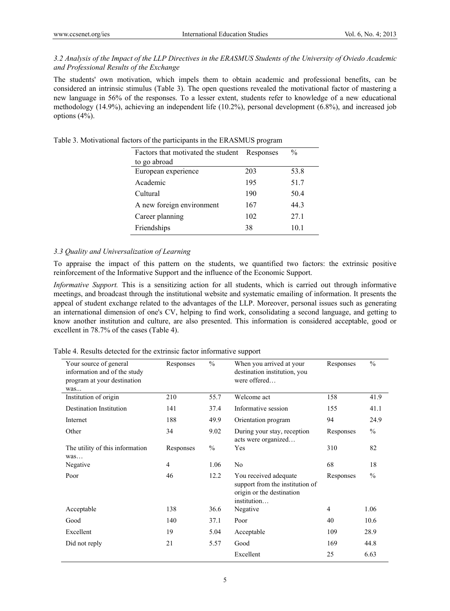*3.2 Analysis of the Impact of the LLP Directives in the ERASMUS Students of the University of Oviedo Academic and Professional Results of the Exchange* 

The students' own motivation, which impels them to obtain academic and professional benefits, can be considered an intrinsic stimulus (Table 3). The open questions revealed the motivational factor of mastering a new language in 56% of the responses. To a lesser extent, students refer to knowledge of a new educational methodology (14.9%), achieving an independent life (10.2%), personal development (6.8%), and increased job options (4%).

| Table 3. Motivational factors of the participants in the ERASMUS program |  |
|--------------------------------------------------------------------------|--|
|--------------------------------------------------------------------------|--|

| Factors that motivated the student Responses |     | $\frac{0}{0}$ |
|----------------------------------------------|-----|---------------|
| to go abroad                                 |     |               |
| European experience                          | 203 | 53.8          |
| Academic                                     | 195 | 51.7          |
| Cultural                                     | 190 | 50.4          |
| A new foreign environment                    | 167 | 44.3          |
| Career planning                              | 102 | 27.1          |
| Friendships                                  | 38  | 10.1          |

# *3.3 Quality and Universalization of Learning*

To appraise the impact of this pattern on the students, we quantified two factors: the extrinsic positive reinforcement of the Informative Support and the influence of the Economic Support.

*Informative Support.* This is a sensitizing action for all students, which is carried out through informative meetings, and broadcast through the institutional website and systematic emailing of information. It presents the appeal of student exchange related to the advantages of the LLP. Moreover, personal issues such as generating an international dimension of one's CV, helping to find work, consolidating a second language, and getting to know another institution and culture, are also presented. This information is considered acceptable, good or excellent in 78.7% of the cases (Table 4).

|  |  |  |  |  |  |  |  | Table 4. Results detected for the extrinsic factor informative support |
|--|--|--|--|--|--|--|--|------------------------------------------------------------------------|
|--|--|--|--|--|--|--|--|------------------------------------------------------------------------|

| Your source of general<br>information and of the study<br>program at your destination<br>was | Responses | $\frac{0}{0}$ | When you arrived at your<br>destination institution, you<br>were offered                             | Responses      | $\%$          |
|----------------------------------------------------------------------------------------------|-----------|---------------|------------------------------------------------------------------------------------------------------|----------------|---------------|
| Institution of origin                                                                        | 210       | 55.7          | Welcome act                                                                                          | 158            | 41.9          |
| <b>Destination Institution</b>                                                               | 141       | 37.4          | Informative session                                                                                  | 155            | 41.1          |
| Internet                                                                                     | 188       | 49.9          | Orientation program                                                                                  | 94             | 24.9          |
| Other                                                                                        | 34        | 9.02          | During your stay, reception<br>acts were organized                                                   | Responses      | $\frac{0}{0}$ |
| The utility of this information<br>was                                                       | Responses | $\frac{0}{0}$ | Yes                                                                                                  | 310            | 82            |
| Negative                                                                                     | 4         | 1.06          | No                                                                                                   | 68             | 18            |
| Poor                                                                                         | 46        | 12.2          | You received adequate<br>support from the institution of<br>origin or the destination<br>institution | Responses      | $\frac{0}{0}$ |
| Acceptable                                                                                   | 138       | 36.6          | Negative                                                                                             | $\overline{4}$ | 1.06          |
| Good                                                                                         | 140       | 37.1          | Poor                                                                                                 | 40             | 10.6          |
| Excellent                                                                                    | 19        | 5.04          | Acceptable                                                                                           | 109            | 28.9          |
| Did not reply                                                                                | 21        | 5.57          | Good                                                                                                 | 169            | 44.8          |
|                                                                                              |           |               | Excellent                                                                                            | 25             | 6.63          |
|                                                                                              |           |               |                                                                                                      |                |               |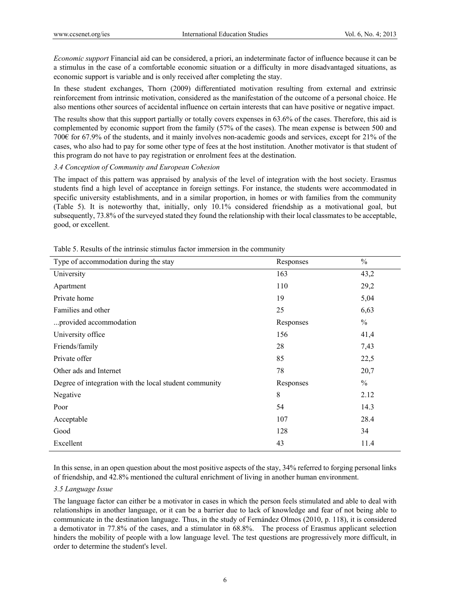*Economic support* Financial aid can be considered, a priori, an indeterminate factor of influence because it can be a stimulus in the case of a comfortable economic situation or a difficulty in more disadvantaged situations, as economic support is variable and is only received after completing the stay.

In these student exchanges, Thorn (2009) differentiated motivation resulting from external and extrinsic reinforcement from intrinsic motivation, considered as the manifestation of the outcome of a personal choice. He also mentions other sources of accidental influence on certain interests that can have positive or negative impact.

The results show that this support partially or totally covers expenses in 63.6% of the cases. Therefore, this aid is complemented by economic support from the family (57% of the cases). The mean expense is between 500 and 700€ for 67.9% of the students, and it mainly involves non-academic goods and services, except for 21% of the cases, who also had to pay for some other type of fees at the host institution. Another motivator is that student of this program do not have to pay registration or enrolment fees at the destination.

## *3.4 Conception of Community and European Cohesion*

The impact of this pattern was appraised by analysis of the level of integration with the host society. Erasmus students find a high level of acceptance in foreign settings. For instance, the students were accommodated in specific university establishments, and in a similar proportion, in homes or with families from the community (Table 5). It is noteworthy that, initially, only 10.1% considered friendship as a motivational goal, but subsequently, 73.8% of the surveyed stated they found the relationship with their local classmates to be acceptable, good, or excellent.

| Type of accommodation during the stay                  | Responses | $\frac{0}{0}$ |
|--------------------------------------------------------|-----------|---------------|
| University                                             | 163       | 43,2          |
| Apartment                                              | 110       | 29,2          |
| Private home                                           | 19        | 5,04          |
| Families and other                                     | 25        | 6,63          |
| provided accommodation                                 | Responses | $\frac{0}{0}$ |
| University office                                      | 156       | 41,4          |
| Friends/family                                         | 28        | 7,43          |
| Private offer                                          | 85        | 22,5          |
| Other ads and Internet                                 | 78        | 20,7          |
| Degree of integration with the local student community | Responses | $\frac{0}{0}$ |
| Negative                                               | $\,8\,$   | 2.12          |
| Poor                                                   | 54        | 14.3          |
| Acceptable                                             | 107       | 28.4          |
| Good                                                   | 128       | 34            |
| Excellent                                              | 43        | 11.4          |

Table 5. Results of the intrinsic stimulus factor immersion in the community

In this sense, in an open question about the most positive aspects of the stay, 34% referred to forging personal links of friendship, and 42.8% mentioned the cultural enrichment of living in another human environment.

#### *3.5 Language Issue*

The language factor can either be a motivator in cases in which the person feels stimulated and able to deal with relationships in another language, or it can be a barrier due to lack of knowledge and fear of not being able to communicate in the destination language. Thus, in the study of Fernández Olmos (2010, p. 118), it is considered a demotivator in 77.8% of the cases, and a stimulator in 68.8%. The process of Erasmus applicant selection hinders the mobility of people with a low language level. The test questions are progressively more difficult, in order to determine the student's level.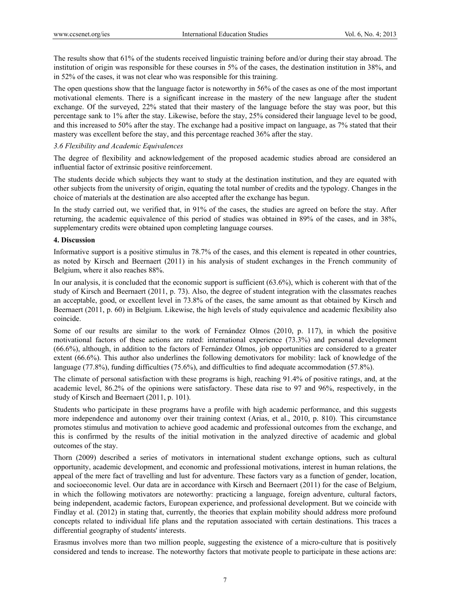The results show that 61% of the students received linguistic training before and/or during their stay abroad. The institution of origin was responsible for these courses in 5% of the cases, the destination institution in 38%, and in 52% of the cases, it was not clear who was responsible for this training.

The open questions show that the language factor is noteworthy in 56% of the cases as one of the most important motivational elements. There is a significant increase in the mastery of the new language after the student exchange. Of the surveyed, 22% stated that their mastery of the language before the stay was poor, but this percentage sank to 1% after the stay. Likewise, before the stay, 25% considered their language level to be good, and this increased to 50% after the stay. The exchange had a positive impact on language, as 7% stated that their mastery was excellent before the stay, and this percentage reached 36% after the stay.

# *3.6 Flexibility and Academic Equivalences*

The degree of flexibility and acknowledgement of the proposed academic studies abroad are considered an influential factor of extrinsic positive reinforcement.

The students decide which subjects they want to study at the destination institution, and they are equated with other subjects from the university of origin, equating the total number of credits and the typology. Changes in the choice of materials at the destination are also accepted after the exchange has begun.

In the study carried out, we verified that, in 91% of the cases, the studies are agreed on before the stay. After returning, the academic equivalence of this period of studies was obtained in 89% of the cases, and in 38%, supplementary credits were obtained upon completing language courses.

## **4. Discussion**

Informative support is a positive stimulus in 78.7% of the cases, and this element is repeated in other countries, as noted by Kirsch and Beernaert (2011) in his analysis of student exchanges in the French community of Belgium, where it also reaches 88%.

In our analysis, it is concluded that the economic support is sufficient (63.6%), which is coherent with that of the study of Kirsch and Beernaert (2011, p. 73). Also, the degree of student integration with the classmates reaches an acceptable, good, or excellent level in 73.8% of the cases, the same amount as that obtained by Kirsch and Beernaert (2011, p. 60) in Belgium. Likewise, the high levels of study equivalence and academic flexibility also coincide.

Some of our results are similar to the work of Fernández Olmos (2010, p. 117), in which the positive motivational factors of these actions are rated: international experience (73.3%) and personal development (66.6%), although, in addition to the factors of Fernández Olmos, job opportunities are considered to a greater extent (66.6%). This author also underlines the following demotivators for mobility: lack of knowledge of the language (77.8%), funding difficulties (75.6%), and difficulties to find adequate accommodation (57.8%).

The climate of personal satisfaction with these programs is high, reaching 91.4% of positive ratings, and, at the academic level, 86.2% of the opinions were satisfactory. These data rise to 97 and 96%, respectively, in the study of Kirsch and Beernaert (2011, p. 101).

Students who participate in these programs have a profile with high academic performance, and this suggests more independence and autonomy over their training context (Arias, et al., 2010, p. 810). This circumstance promotes stimulus and motivation to achieve good academic and professional outcomes from the exchange, and this is confirmed by the results of the initial motivation in the analyzed directive of academic and global outcomes of the stay.

Thorn (2009) described a series of motivators in international student exchange options, such as cultural opportunity, academic development, and economic and professional motivations, interest in human relations, the appeal of the mere fact of travelling and lust for adventure. These factors vary as a function of gender, location, and socioeconomic level. Our data are in accordance with Kirsch and Beernaert (2011) for the case of Belgium, in which the following motivators are noteworthy: practicing a language, foreign adventure, cultural factors, being independent, academic factors, European experience, and professional development. But we coincide with Findlay et al. (2012) in stating that, currently, the theories that explain mobility should address more profound concepts related to individual life plans and the reputation associated with certain destinations. This traces a differential geography of students' interests.

Erasmus involves more than two million people, suggesting the existence of a micro-culture that is positively considered and tends to increase. The noteworthy factors that motivate people to participate in these actions are: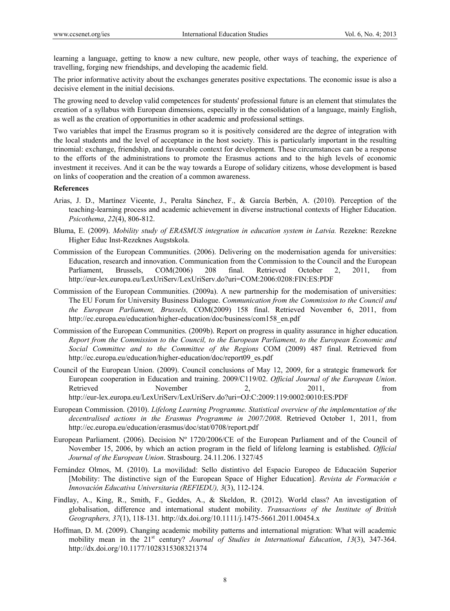learning a language, getting to know a new culture, new people, other ways of teaching, the experience of travelling, forging new friendships, and developing the academic field.

The prior informative activity about the exchanges generates positive expectations. The economic issue is also a decisive element in the initial decisions.

The growing need to develop valid competences for students' professional future is an element that stimulates the creation of a syllabus with European dimensions, especially in the consolidation of a language, mainly English, as well as the creation of opportunities in other academic and professional settings.

Two variables that impel the Erasmus program so it is positively considered are the degree of integration with the local students and the level of acceptance in the host society. This is particularly important in the resulting trinomial: exchange, friendship, and favourable context for development. These circumstances can be a response to the efforts of the administrations to promote the Erasmus actions and to the high levels of economic investment it receives. And it can be the way towards a Europe of solidary citizens, whose development is based on links of cooperation and the creation of a common awareness.

#### **References**

- Arias, J. D., Martínez Vicente, J., Peralta Sánchez, F., & García Berbén, A. (2010). Perception of the teaching-learning process and academic achievement in diverse instructional contexts of Higher Education. *Psicothema*, *22*(4), 806-812.
- Bluma, E. (2009). *Mobility study of ERASMUS integration in education system in Latvia.* Rezekne: Rezekne Higher Educ Inst-Rezeknes Augstskola.
- Commission of the European Communities. (2006). Delivering on the modernisation agenda for universities: Education, research and innovation. Communication from the Commission to the Council and the European Parliament, Brussels, COM(2006) 208 final. Retrieved October 2, 2011, from http://eur-lex.europa.eu/LexUriServ/LexUriServ.do?uri=COM:2006:0208:FIN:ES:PDF
- Commission of the European Communities. (2009a). A new partnership for the modernisation of universities: The EU Forum for University Business Dialogue. *Communication from the Commission to the Council and the European Parliament, Brussels,* COM(2009) 158 final. Retrieved November 6, 2011, from http://ec.europa.eu/education/higher-education/doc/business/com158\_en.pdf
- Commission of the European Communities. (2009b). Report on progress in quality assurance in higher education*. Report from the Commission to the Council, to the European Parliament, to the European Economic and Social Committee and to the Committee of the Regions* COM (2009) 487 final. Retrieved from http://ec.europa.eu/education/higher-education/doc/report09\_es.pdf
- Council of the European Union. (2009). Council conclusions of May 12, 2009, for a strategic framework for European cooperation in Education and training. 2009/C119/02. *Official Journal of the European Union*. Retrieved November 2, 2011, from http://eur-lex.europa.eu/LexUriServ/LexUriServ.do?uri=OJ:C:2009:119:0002:0010:ES:PDF
- European Commission. (2010). *Lifelong Learning Programme. Statistical overview of the implementation of the decentralised actions in the Erasmus Programme in 2007/2008*. Retrieved October 1, 2011, from http://ec.europa.eu/education/erasmus/doc/stat/0708/report.pdf
- European Parliament. (2006). Decision Nº 1720/2006/CE of the European Parliament and of the Council of November 15, 2006, by which an action program in the field of lifelong learning is established. *Official Journal of the European Union*. Strasbourg. 24.11.206. l 327/45
- Fernández Olmos, M. (2010). La movilidad: Sello distintivo del Espacio Europeo de Educación Superior [Mobility: The distinctive sign of the European Space of Higher Education]. *Revista de Formación e Innovación Educativa Universitaria (REFIEDU), 3*(3), 112-124.
- Findlay, A., King, R., Smith, F., Geddes, A., & Skeldon, R. (2012). World class? An investigation of globalisation, difference and international student mobility. *Transactions of the Institute of British Geographers, 37*(1), 118-131. http://dx.doi.org/10.1111/j.1475-5661.2011.00454.x
- Hoffman, D. M. (2009). Changing academic mobility patterns and international migration: What will academic mobility mean in the 21<sup>st</sup> century? *Journal of Studies in International Education*, 13(3), 347-364. http://dx.doi.org/10.1177/1028315308321374